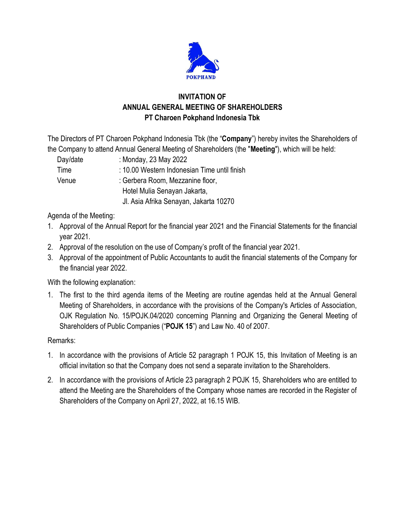

## **INVITATION OF ANNUAL GENERAL MEETING OF SHAREHOLDERS PT Charoen Pokphand Indonesia Tbk**

The Directors of PT Charoen Pokphand Indonesia Tbk (the "**Company**") hereby invites the Shareholders of the Company to attend Annual General Meeting of Shareholders (the "**Meeting**"), which will be held:

- Day/date : Monday, 23 May 2022
- Time : 10.00 Western Indonesian Time until finish
- Venue : Gerbera Room, Mezzanine floor, Hotel Mulia Senayan Jakarta, Jl. Asia Afrika Senayan, Jakarta 10270

Agenda of the Meeting:

- 1. Approval of the Annual Report for the financial year 2021 and the Financial Statements for the financial year 2021.
- 2. Approval of the resolution on the use of Company's profit of the financial year 2021.
- 3. Approval of the appointment of Public Accountants to audit the financial statements of the Company for the financial year 2022.

With the following explanation:

1. The first to the third agenda items of the Meeting are routine agendas held at the Annual General Meeting of Shareholders, in accordance with the provisions of the Company's Articles of Association, OJK Regulation No. 15/POJK.04/2020 concerning Planning and Organizing the General Meeting of Shareholders of Public Companies ("**POJK 15**") and Law No. 40 of 2007.

Remarks:

- 1. In accordance with the provisions of Article 52 paragraph 1 POJK 15, this Invitation of Meeting is an official invitation so that the Company does not send a separate invitation to the Shareholders.
- 2. In accordance with the provisions of Article 23 paragraph 2 POJK 15, Shareholders who are entitled to attend the Meeting are the Shareholders of the Company whose names are recorded in the Register of Shareholders of the Company on April 27, 2022, at 16.15 WIB.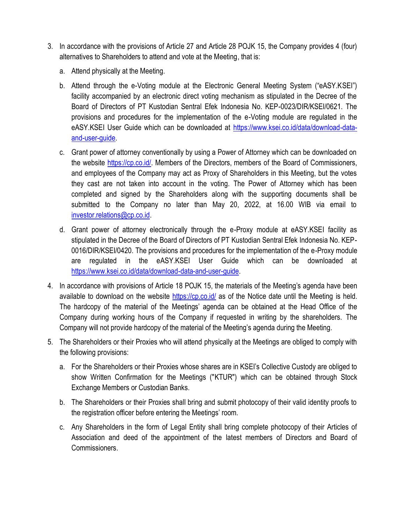- 3. In accordance with the provisions of Article 27 and Article 28 POJK 15, the Company provides 4 (four) alternatives to Shareholders to attend and vote at the Meeting, that is:
	- a. Attend physically at the Meeting.
	- b. Attend through the e-Voting module at the Electronic General Meeting System ("eASY.KSEI") facility accompanied by an electronic direct voting mechanism as stipulated in the Decree of the Board of Directors of PT Kustodian Sentral Efek Indonesia No. KEP-0023/DIR/KSEI/0621. The provisions and procedures for the implementation of the e-Voting module are regulated in the eASY.KSEI User Guide which can be downloaded at [https://www.ksei.co.id/data/download-data](https://www.ksei.co.id/data/download-data-and-user-guide)[and-user-guide.](https://www.ksei.co.id/data/download-data-and-user-guide)
	- c. Grant power of attorney conventionally by using a Power of Attorney which can be downloaded on the website [https://cp.co.id/.](https://cp.co.id/) Members of the Directors, members of the Board of Commissioners, and employees of the Company may act as Proxy of Shareholders in this Meeting, but the votes they cast are not taken into account in the voting. The Power of Attorney which has been completed and signed by the Shareholders along with the supporting documents shall be submitted to the Company no later than May 20, 2022, at 16.00 WIB via email to [investor.relations@cp.co.id.](mailto:investor.relations@cp.co.id)
	- d. Grant power of attorney electronically through the e-Proxy module at eASY.KSEI facility as stipulated in the Decree of the Board of Directors of PT Kustodian Sentral Efek Indonesia No. KEP-0016/DIR/KSEI/0420. The provisions and procedures for the implementation of the e-Proxy module are regulated in the eASY.KSEI User Guide which can be downloaded at [https://www.ksei.co.id/data/download-data-and-user-guide.](https://www.ksei.co.id/data/download-data-and-user-guide)
- 4. In accordance with provisions of Article 18 POJK 15, the materials of the Meeting's agenda have been available to download on the website<https://cp.co.id/> as of the Notice date until the Meeting is held. The hardcopy of the material of the Meetings' agenda can be obtained at the Head Office of the Company during working hours of the Company if requested in writing by the shareholders. The Company will not provide hardcopy of the material of the Meeting's agenda during the Meeting.
- 5. The Shareholders or their Proxies who will attend physically at the Meetings are obliged to comply with the following provisions:
	- a. For the Shareholders or their Proxies whose shares are in KSEI's Collective Custody are obliged to show Written Confirmation for the Meetings ("KTUR") which can be obtained through Stock Exchange Members or Custodian Banks.
	- b. The Shareholders or their Proxies shall bring and submit photocopy of their valid identity proofs to the registration officer before entering the Meetings' room.
	- c. Any Shareholders in the form of Legal Entity shall bring complete photocopy of their Articles of Association and deed of the appointment of the latest members of Directors and Board of Commissioners.